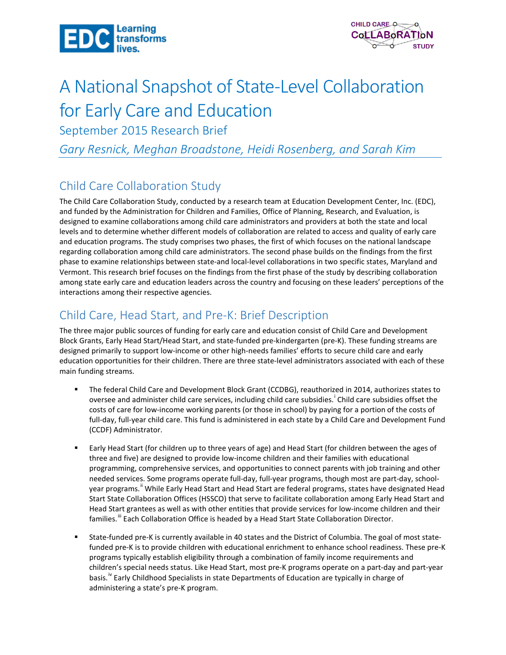



# A National Snapshot of State-Level Collaboration for Early Care and Education

September 2015 Research Brief

*Gary Resnick, Meghan Broadstone, Heidi Rosenberg, and Sarah Kim*

# Child Care Collaboration Study

The Child Care Collaboration Study, conducted by a research team at Education Development Center, Inc. (EDC), and funded by the Administration for Children and Families, Office of Planning, Research, and Evaluation, is designed to examine collaborations among child care administrators and providers at both the state and local levels and to determine whether different models of collaboration are related to access and quality of early care and education programs. The study comprises two phases, the first of which focuses on the national landscape regarding collaboration among child care administrators. The second phase builds on the findings from the first phase to examine relationships between state-and local-level collaborations in two specific states, Maryland and Vermont. This research brief focuses on the findings from the first phase of the study by describing collaboration among state early care and education leaders across the country and focusing on these leaders' perceptions of the interactions among their respective agencies.

# Child Care, Head Start, and Pre-K: Brief Description

The three major public sources of funding for early care and education consist of Child Care and Development Block Grants, Early Head Start/Head Start, and state-funded pre-kindergarten (pre-K). These funding streams are designed primarily to support low-income or other high-needs families' efforts to secure child care and early education opportunities for their children. There are three state-level administrators associated with each of these main funding streams.

- The federal Child Care and Development Block Grant (CCDBG), reauthorized in 2014, authorizes states to oversee and adm[i](#page-14-0)nister child care services, including child care subsidies.<sup>i</sup> Child care subsidies offset the costs of care for low-income working parents (or those in school) by paying for a portion of the costs of full-day, full-year child care. This fund is administered in each state by a Child Care and Development Fund (CCDF) Administrator.
- Early Head Start (for children up to three years of age) and Head Start (for children between the ages of three and five) are designed to provide low-income children and their families with educational programming, comprehensive services, and opportunities to connect parents with job training and other needed services. Some programs operate full-day, full-year programs, though most are part-day, schoolyear programs." While Early Head Start and Head Start are federal programs, states have designated Head Start State Collaboration Offices (HSSCO) that serve to facilitate collaboration among Early Head Start and Head Start grantees as well as with other entities that provide services for low-income children and their families." Each Collaboration Office is headed by a Head Start State Collaboration Director.
- State-funded pre-K is currently available in 40 states and the District of Columbia. The goal of most statefunded pre-K is to provide children with educational enrichment to enhance school readiness. These pre-K programs typically establish eligibility through a combination of family income requirements and children's special needs status. Like Head Start, most pre-K programs operate on a part-day and part-year basis.<sup>IV</sup> Early Childhood Specialists in state Departments of Education are typically in charge of administering a state's pre-K program.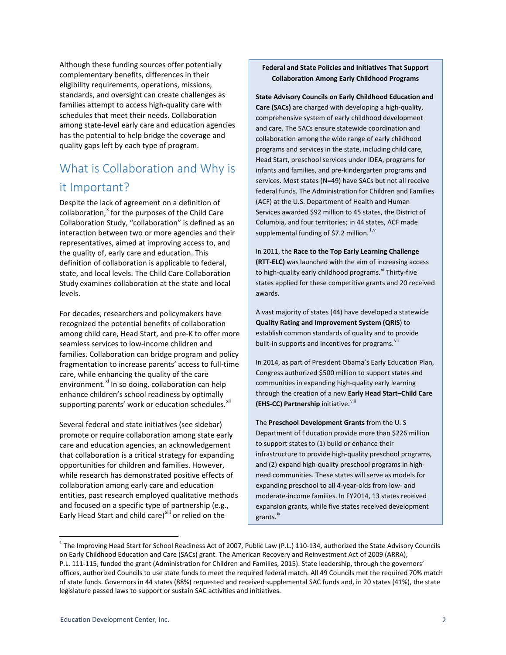Although these funding sources offer potentially complementary benefits, differences in their eligibility requirements, operations, missions, standards, and oversight can create challenges as families attempt to access high-quality care with schedules that meet their needs. Collaboration among state-level early care and education agencies has the potential to help bridge the coverage and quality gaps left by each type of program.

# What is Collaboration and Why is it Important?

Despite the lack of agreement on a definition of collaboration,<sup>[x](#page-15-0)</sup> for the purposes of the Child Care Collaboration Study, "collaboration" is defined as an interaction between two or more agencies and their representatives, aimed at improving access to, and the quality of, early care and education. This definition of collaboration is applicable to federal, state, and local levels. The Child Care Collaboration Study examines collaboration at the state and local levels.

For decades, researchers and policymakers have recognized the potential benefits of collaboration among child care, Head Start, and pre-K to offer more seamless services to low-income children and families. Collaboration can bridge program and policy fragmentation to increase parents' access to full-time care, while enhancing the quality of the care environment.<sup>[xi](#page-15-1)</sup> In so doing, collaboration can help enhance children's school readiness by optimally supporting parents' work or education schedules.<sup>[xii](#page-15-2)</sup>

Several federal and state initiatives (see sidebar) promote or require collaboration among state early care and education agencies, an acknowledgement that collaboration is a critical strategy for expanding opportunities for children and families. However, while research has demonstrated positive effects of collaboration among early care and education entities, past research employed qualitative methods and focused on a specific type of partnership (e.g., Early Head Start and child care)<sup>[xiii](#page-15-3)</sup> or relied on the

#### **Federal and State Policies and Initiatives That Support Collaboration Among Early Childhood Programs**

**State Advisory Councils on Early Childhood Education and Care (SACs)** are charged with developing a high-quality, comprehensive system of early childhood development and care. The SACs ensure statewide coordination and collaboration among the wide range of early childhood programs and services in the state, including child care, Head Start, preschool services under IDEA, programs for infants and families, and pre-kindergarten programs and services. Most states (N=49) have SACs but not all receive federal funds. The Administration for Children and Families (ACF) at the U.S. Department of Health and Human Services awarded \$92 million to 45 states, the District of Columbia, and four territories; in 44 states, ACF made supplemental funding of \$7.2 million.<sup>[1](#page-1-0),[v](#page-15-4)</sup>

In 2011, the **Race to the Top Early Learning Challenge (RTT-ELC)** was launched with the aim of increasing access to high-quality early childhood programs. Vi Thirty-five states applied for these competitive grants and 20 received awards.

A vast majority of states (44) have developed a statewide **Quality Rating and Improvement System (QRIS**) to establish common standards of quality and to provide built-in supports and incentives for programs.

In 2014, as part of President Obama's Early Education Plan, Congress authorized \$500 million to support states and communities in expanding high-quality early learning through the creation of a new **Early Head Start–Child Care (EHS-CC) Partnership** initiative.<sup>[viii](#page-15-7)</sup>

The **Preschool Development Grants** from the U. S Department of Education provide more than \$226 million to support states to (1) build or enhance their infrastructure to provide high-quality preschool programs, and (2) expand high-quality preschool programs in highneed communities. These states will serve as models for expanding preschool to all 4-year-olds from low- and moderate-income families. In FY2014, 13 states received expansion grants, while five states received development grants.<sup>[ix](#page-15-8)</sup>

<span id="page-1-0"></span> $1$  The Improving Head Start for School Readiness Act of 2007, Public Law (P.L.) 110-134, authorized the State Advisory Councils on Early Childhood Education and Care (SACs) grant. The American Recovery and Reinvestment Act of 2009 (ARRA), P.L. 111-115, funded the grant (Administration for Children and Families, 2015). State leadership, through the governors' offices, authorized Councils to use state funds to meet the required federal match. All 49 Councils met the required 70% match of state funds. Governors in 44 states (88%) requested and received supplemental SAC funds and, in 20 states (41%), the state legislature passed laws to support or sustain SAC activities and initiatives.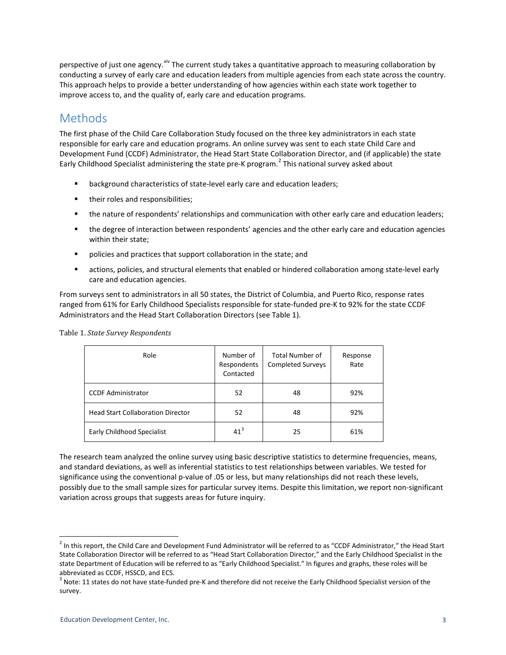perspective of just one agency.<sup>[xiv](#page-15-9)</sup> The current study takes a quantitative approach to measuring collaboration by conducting a survey of early care and education leaders from multiple agencies from each state across the country. This approach helps to provide a better understanding of how agencies within each state work together to improve access to, and the quality of, early care and education programs.

# Methods

The first phase of the Child Care Collaboration Study focused on the three key administrators in each state responsible for early care and education programs. An online survey was sent to each state Child Care and Development Fund (CCDF) Administrator, the Head Start State Collaboration Director, and (if applicable) the state Early Childhood Specialist administering the state pre-K program.<sup>[2](#page-2-0)</sup> This national survey asked about

- **EXP** background characteristics of state-level early care and education leaders;
- **their roles and responsibilities;**
- **the nature of respondents' relationships and communication with other early care and education leaders;**
- **the degree of interaction between respondents' agencies and the other early care and education agencies** within their state;
- **Propolicies and practices that support collaboration in the state; and**
- actions, policies, and structural elements that enabled or hindered collaboration among state-level early care and education agencies.

From surveys sent to administrators in all 50 states, the District of Columbia, and Puerto Rico, response rates ranged from 61% for Early Childhood Specialists responsible for state-funded pre-K to 92% for the state CCDF Administrators and the Head Start Collaboration Directors (see Table 1).

| Table 1. State Survey Respondents |  |
|-----------------------------------|--|
|                                   |  |

| Role                                     | Number of<br>Respondents<br>Contacted | Total Number of<br><b>Completed Surveys</b> | Response<br>Rate |
|------------------------------------------|---------------------------------------|---------------------------------------------|------------------|
| <b>CCDF Administrator</b>                | 52                                    | 48                                          | 92%              |
| <b>Head Start Collaboration Director</b> | 52                                    | 48                                          | 92%              |
| <b>Early Childhood Specialist</b>        | 41 <sup>3</sup>                       | 25                                          | 61%              |

The research team analyzed the online survey using basic descriptive statistics to determine frequencies, means, and standard deviations, as well as inferential statistics to test relationships between variables. We tested for significance using the conventional p-value of .05 or less, but many relationships did not reach these levels, possibly due to the small sample sizes for particular survey items. Despite this limitation, we report non-significant variation across groups that suggests areas for future inquiry.

<span id="page-2-0"></span> $2$  In this report, the Child Care and Development Fund Administrator will be referred to as "CCDF Administrator," the Head Start State Collaboration Director will be referred to as "Head Start Collaboration Director," and the Early Childhood Specialist in the state Department of Education will be referred to as "Early Childhood Specialist." In figures and graphs, these roles will be abbreviated as CCDF, HSSCD, and ECS.

<span id="page-2-1"></span> $3$  Note: 11 states do not have state-funded pre-K and therefore did not receive the Early Childhood Specialist version of the survey.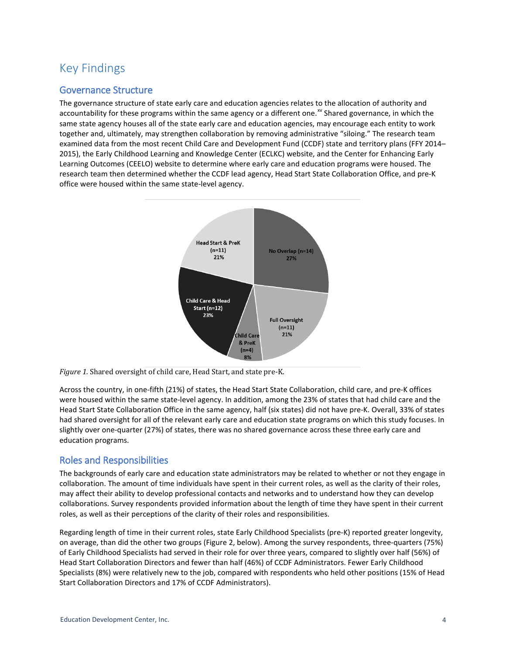# Key Findings

### Governance Structure

The governance structure of state early care and education agencies relates to the allocation of authority and accountability for these programs within the same agency or a different one.<sup>[xv](#page-15-10)</sup> Shared governance, in which the same state agency houses all of the state early care and education agencies, may encourage each entity to work together and, ultimately, may strengthen collaboration by removing administrative "siloing." The research team examined data from the most recent Child Care and Development Fund (CCDF) state and territory plans (FFY 2014– 2015), the Early Childhood Learning and Knowledge Center (ECLKC) website, and the Center for Enhancing Early Learning Outcomes (CEELO) website to determine where early care and education programs were housed. The research team then determined whether the CCDF lead agency, Head Start State Collaboration Office, and pre-K office were housed within the same state-level agency.



*Figure 1.* Shared oversight of child care, Head Start, and state pre-K.

Across the country, in one-fifth (21%) of states, the Head Start State Collaboration, child care, and pre-K offices were housed within the same state-level agency. In addition, among the 23% of states that had child care and the Head Start State Collaboration Office in the same agency, half (six states) did not have pre-K. Overall, 33% of states had shared oversight for all of the relevant early care and education state programs on which this study focuses. In slightly over one-quarter (27%) of states, there was no shared governance across these three early care and education programs.

### Roles and Responsibilities

The backgrounds of early care and education state administrators may be related to whether or not they engage in collaboration. The amount of time individuals have spent in their current roles, as well as the clarity of their roles, may affect their ability to develop professional contacts and networks and to understand how they can develop collaborations. Survey respondents provided information about the length of time they have spent in their current roles, as well as their perceptions of the clarity of their roles and responsibilities.

Regarding length of time in their current roles, state Early Childhood Specialists (pre-K) reported greater longevity, on average, than did the other two groups (Figure 2, below). Among the survey respondents, three-quarters (75%) of Early Childhood Specialists had served in their role for over three years, compared to slightly over half (56%) of Head Start Collaboration Directors and fewer than half (46%) of CCDF Administrators. Fewer Early Childhood Specialists (8%) were relatively new to the job, compared with respondents who held other positions (15% of Head Start Collaboration Directors and 17% of CCDF Administrators).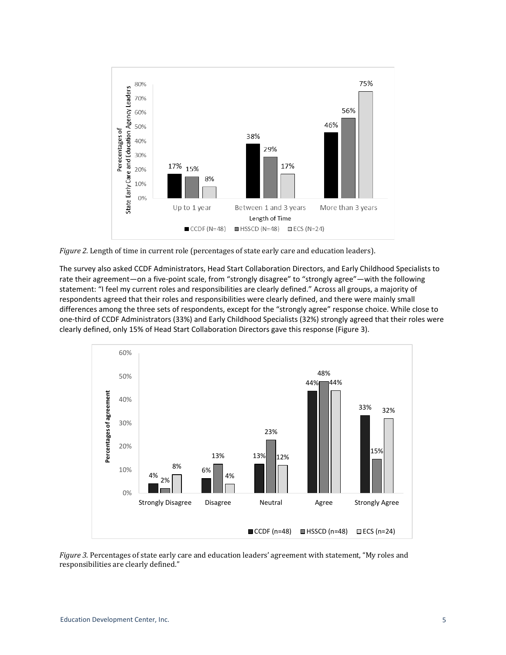

*Figure 2.* Length of time in current role (percentages of state early care and education leaders).

The survey also asked CCDF Administrators, Head Start Collaboration Directors, and Early Childhood Specialists to rate their agreement—on a five-point scale, from "strongly disagree" to "strongly agree"—with the following statement: "I feel my current roles and responsibilities are clearly defined." Across all groups, a majority of respondents agreed that their roles and responsibilities were clearly defined, and there were mainly small differences among the three sets of respondents, except for the "strongly agree" response choice. While close to one-third of CCDF Administrators (33%) and Early Childhood Specialists (32%) strongly agreed that their roles were clearly defined, only 15% of Head Start Collaboration Directors gave this response (Figure 3).



*Figure 3.* Percentages of state early care and education leaders' agreement with statement, "My roles and responsibilities are clearly defined."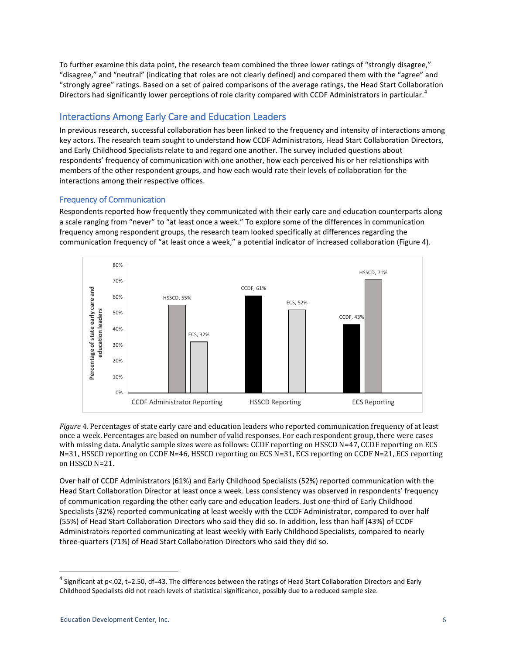To further examine this data point, the research team combined the three lower ratings of "strongly disagree," "disagree," and "neutral" (indicating that roles are not clearly defined) and compared them with the "agree" and "strongly agree" ratings. Based on a set of paired comparisons of the average ratings, the Head Start Collaboration Directors had significantly lower perceptions of role clarity compared with CCDF Administrators in particular.<sup>[4](#page-5-0)</sup>

# Interactions Among Early Care and Education Leaders

In previous research, successful collaboration has been linked to the frequency and intensity of interactions among key actors. The research team sought to understand how CCDF Administrators, Head Start Collaboration Directors, and Early Childhood Specialists relate to and regard one another. The survey included questions about respondents' frequency of communication with one another, how each perceived his or her relationships with members of the other respondent groups, and how each would rate their levels of collaboration for the interactions among their respective offices.

### Frequency of Communication

Respondents reported how frequently they communicated with their early care and education counterparts along a scale ranging from "never" to "at least once a week." To explore some of the differences in communication frequency among respondent groups, the research team looked specifically at differences regarding the communication frequency of "at least once a week," a potential indicator of increased collaboration (Figure 4).



*Figure* 4*.* Percentages of state early care and education leaders who reported communication frequency of at least once a week. Percentages are based on number of valid responses. For each respondent group, there were cases with missing data. Analytic sample sizes were as follows: CCDF reporting on HSSCD N=47, CCDF reporting on ECS N=31, HSSCD reporting on CCDF N=46, HSSCD reporting on ECS N=31, ECS reporting on CCDF N=21, ECS reporting on HSSCD N=21.

Over half of CCDF Administrators (61%) and Early Childhood Specialists (52%) reported communication with the Head Start Collaboration Director at least once a week. Less consistency was observed in respondents' frequency of communication regarding the other early care and education leaders. Just one-third of Early Childhood Specialists (32%) reported communicating at least weekly with the CCDF Administrator, compared to over half (55%) of Head Start Collaboration Directors who said they did so. In addition, less than half (43%) of CCDF Administrators reported communicating at least weekly with Early Childhood Specialists, compared to nearly three-quarters (71%) of Head Start Collaboration Directors who said they did so.

<span id="page-5-0"></span> $4$  Significant at p<.02, t=2.50, df=43. The differences between the ratings of Head Start Collaboration Directors and Early Childhood Specialists did not reach levels of statistical significance, possibly due to a reduced sample size.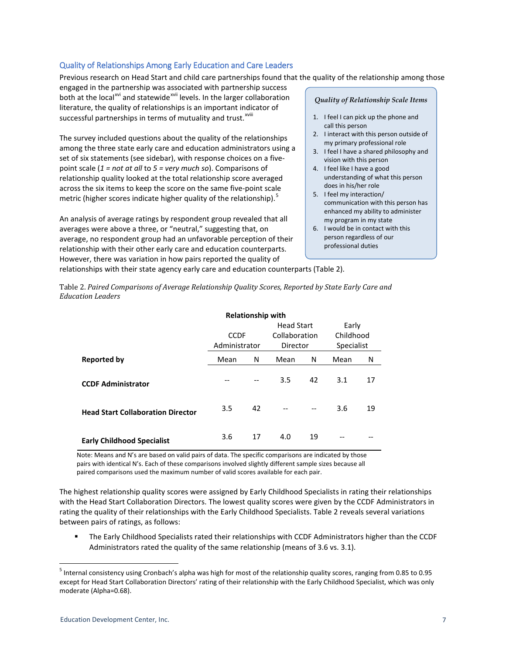#### Quality of Relationships Among Early Education and Care Leaders

Previous research on Head Start and child care partnerships found that the quality of the relationship among those

engaged in the partnership was associated with partnership success both at the local<sup>[xvi](#page-15-11)</sup> and statewide<sup>[xvii](#page-15-12)</sup> levels. In the larger collaboration successful partnersh[i](#page-15-13)ps in terms of mutuality and trust.<sup>xviii</sup> literature, the quality of relationships is an important indicator of

The survey included questions about the quality of the relationships among the three state early care and education administrators using a set of six statements (see sidebar), with response choices on a fivepoint scale (*1 = not at all* to *5 = very much so*). Comparisons of relationship quality looked at the total relationship score averaged across the six items to keep the score on the same five-point scale metric (higher scores indicate higher quality of the relationship). $\frac{5}{5}$  $\frac{5}{5}$  $\frac{5}{5}$ 

An analysis of average ratings by respondent group revealed that all averages were above a three, or "neutral," suggesting that, on average, no respondent group had an unfavorable perception of their relationship with their other early care and education counterparts. However, there was variation in how pairs reported the quality of relationships with their state agency early care and education counterparts (Table 2).

#### *Quality of Relationship Scale Items*

- 1. I feel I can pick up the phone and call this person
- 2. I interact with this person outside of my primary professional role
- 3. I feel I have a shared philosophy and vision with this person
- 4. I feel like I have a good understanding of what this person does in his/her role
- 5. I feel my interaction/ communication with this person has enhanced my ability to administer
- my program in my state 6. I would be in contact with this person regardless of our professional duties

Table 2. *Paired Comparisons of Average Relationship Quality Scores, Reported by State Early Care and Education Leaders*

|                                          | <b>Relationship with</b>     |    |                                                |    |                                         |    |  |
|------------------------------------------|------------------------------|----|------------------------------------------------|----|-----------------------------------------|----|--|
|                                          | <b>CCDF</b><br>Administrator |    | <b>Head Start</b><br>Collaboration<br>Director |    | Early<br>Childhood<br><b>Specialist</b> |    |  |
|                                          |                              |    |                                                |    |                                         |    |  |
|                                          |                              |    |                                                |    |                                         |    |  |
| <b>Reported by</b>                       | Mean                         | N  | Mean                                           | N  | Mean                                    | N  |  |
| <b>CCDF Administrator</b>                | --                           |    | 3.5                                            | 42 | 3.1                                     | 17 |  |
| <b>Head Start Collaboration Director</b> | 3.5                          | 42 |                                                | -- | 3.6                                     | 19 |  |
| <b>Early Childhood Specialist</b>        | 3.6                          | 17 | 4.0                                            | 19 |                                         |    |  |

Note: Means and N's are based on valid pairs of data. The specific comparisons are indicated by those pairs with identical N's. Each of these comparisons involved slightly different sample sizes because all paired comparisons used the maximum number of valid scores available for each pair.

The highest relationship quality scores were assigned by Early Childhood Specialists in rating their relationships with the Head Start Collaboration Directors. The lowest quality scores were given by the CCDF Administrators in rating the quality of their relationships with the Early Childhood Specialists. Table 2 reveals several variations between pairs of ratings, as follows:

 The Early Childhood Specialists rated their relationships with CCDF Administrators higher than the CCDF Administrators rated the quality of the same relationship (means of 3.6 vs. 3.1).

<span id="page-6-0"></span> $5$  Internal consistency using Cronbach's alpha was high for most of the relationship quality scores, ranging from 0.85 to 0.95 except for Head Start Collaboration Directors' rating of their relationship with the Early Childhood Specialist, which was only moderate (Alpha=0.68).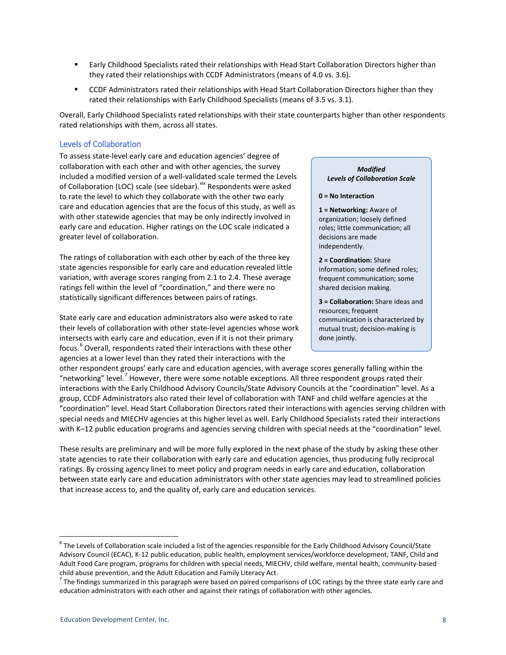- **Early Childhood Specialists rated their relationships with Head Start Collaboration Directors higher than** they rated their relationships with CCDF Administrators (means of 4.0 vs. 3.6).
- CCDF Administrators rated their relationships with Head Start Collaboration Directors higher than they rated their relationships with Early Childhood Specialists (means of 3.5 vs. 3.1).

Overall, Early Childhood Specialists rated relationships with their state counterparts higher than other respondents rated relationships with them, across all states.

#### Levels of Collaboration

To assess state-level early care and education agencies' degree of collaboration with each other and with other agencies, the survey included a modified version of a well-validated scale termed the Levels of Collaboration (LOC) scale (see sidebar).<sup>[xix](#page-15-14)</sup> Respondents were asked to rate the level to which they collaborate with the other two early care and education agencies that are the focus of this study, as well as with other statewide agencies that may be only indirectly involved in early care and education. Higher ratings on the LOC scale indicated a greater level of collaboration.

The ratings of collaboration with each other by each of the three key state agencies responsible for early care and education revealed little variation, with average scores ranging from 2.1 to 2.4. These average ratings fell within the level of "coordination," and there were no statistically significant differences between pairs of ratings.

State early care and education administrators also were asked to rate their levels of collaboration with other state-level agencies whose work intersects with early care and education, even if it is not their primary focus. [6](#page-7-0) Overall, respondents rated their interactions with these other agencies at a lower level than they rated their interactions with the

#### *Modified Levels of Collaboration Scale*

#### **0 = No Interaction**

**1 = Networking:** Aware of organization; loosely defined roles; little communication; all decisions are made independently.

**2 = Coordination:** Share information; some defined roles; frequent communication; some shared decision making.

**3 = Collaboration:** Share ideas and resources; frequent communication is characterized by mutual trust; decision-making is done jointly.

other respondent groups' early care and education agencies, with average scores generally falling within the "networking" level.<sup>[7](#page-7-1)</sup> However, there were some notable exceptions. All three respondent groups rated their interactions with the Early Childhood Advisory Councils/State Advisory Councils at the "coordination" level. As a group, CCDF Administrators also rated their level of collaboration with TANF and child welfare agencies at the "coordination" level. Head Start Collaboration Directors rated their interactions with agencies serving children with special needs and MIECHV agencies at this higher level as well. Early Childhood Specialists rated their interactions with K-12 public education programs and agencies serving children with special needs at the "coordination" level.

These results are preliminary and will be more fully explored in the next phase of the study by asking these other state agencies to rate their collaboration with early care and education agencies, thus producing fully reciprocal ratings. By crossing agency lines to meet policy and program needs in early care and education, collaboration between state early care and education administrators with other state agencies may lead to streamlined policies that increase access to, and the quality of, early care and education services.

<span id="page-7-0"></span> $6$  The Levels of Collaboration scale included a list of the agencies responsible for the Early Childhood Advisory Council/State Advisory Council (ECAC), K-12 public education, public health, employment services/workforce development, TANF, Child and Adult Food Care program, programs for children with special needs, MIECHV, child welfare, mental health, community-based child abuse prevention, and the Adult Education and Family Literacy Act.<br><sup>7</sup> The findings summarized in this paragraph were based on paired comparisons of LOC ratings by the three state early care and

<span id="page-7-1"></span>education administrators with each other and against their ratings of collaboration with other agencies.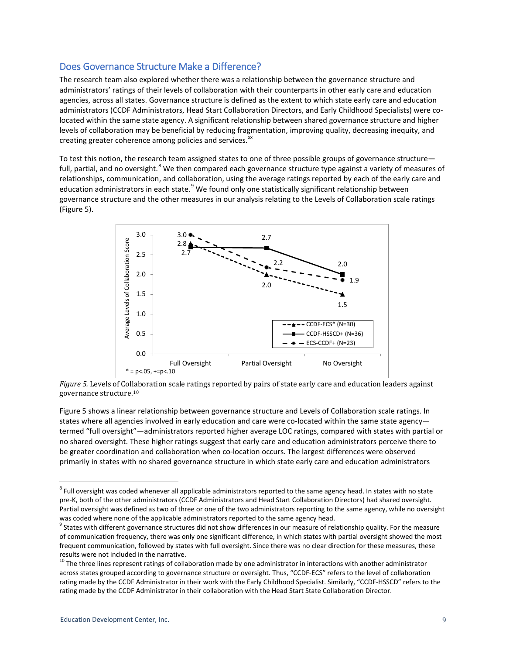### Does Governance Structure Make a Difference?

The research team also explored whether there was a relationship between the governance structure and administrators' ratings of their levels of collaboration with their counterparts in other early care and education agencies, across all states. Governance structure is defined as the extent to which state early care and education administrators (CCDF Administrators, Head Start Collaboration Directors, and Early Childhood Specialists) were colocated within the same state agency. A significant relationship between shared governance structure and higher levels of collaboration may be beneficial by reducing fragmentation, improving quality, decreasing inequity, and creating greater coherence among policies and services.<sup>[xx](#page-15-15)</sup>

To test this notion, the research team assigned states to one of three possible groups of governance structure— full, partial, and no oversight.<sup>[8](#page-8-0)</sup> We then compared each governance structure type against a variety of measures of relationships, communication, and collaboration, using the average ratings reported by each of the early care and education administrators in each state.<sup>[9](#page-8-1)</sup> We found only one statistically significant relationship between governance structure and the other measures in our analysis relating to the Levels of Collaboration scale ratings (Figure 5).



*Figure 5.* Levels of Col[lab](#page-8-2)oration scale ratings reported by pairs of state early care and education leaders against governance structure. 10

Figure 5 shows a linear relationship between governance structure and Levels of Collaboration scale ratings. In states where all agencies involved in early education and care were co-located within the same state agency termed "full oversight"—administrators reported higher average LOC ratings, compared with states with partial or no shared oversight. These higher ratings suggest that early care and education administrators perceive there to be greater coordination and collaboration when co-location occurs. The largest differences were observed primarily in states with no shared governance structure in which state early care and education administrators

<span id="page-8-0"></span> $8$  Full oversight was coded whenever all applicable administrators reported to the same agency head. In states with no state pre-K, both of the other administrators (CCDF Administrators and Head Start Collaboration Directors) had shared oversight. Partial oversight was defined as two of three or one of the two administrators reporting to the same agency, while no oversight was coded where none of the applicable administrators reported to the same agency head.

<span id="page-8-1"></span><sup>&</sup>lt;sup>9</sup> States with different governance structures did not show differences in our measure of relationship quality. For the measure of communication frequency, there was only one significant difference, in which states with partial oversight showed the most frequent communication, followed by states with full oversight. Since there was no clear direction for these measures, these results were not included in the narrative.

<span id="page-8-2"></span><sup>&</sup>lt;sup>10</sup> The three lines represent ratings of collaboration made by one administrator in interactions with another administrator across states grouped according to governance structure or oversight. Thus, "CCDF-ECS" refers to the level of collaboration rating made by the CCDF Administrator in their work with the Early Childhood Specialist. Similarly, "CCDF-HSSCD" refers to the rating made by the CCDF Administrator in their collaboration with the Head Start State Collaboration Director.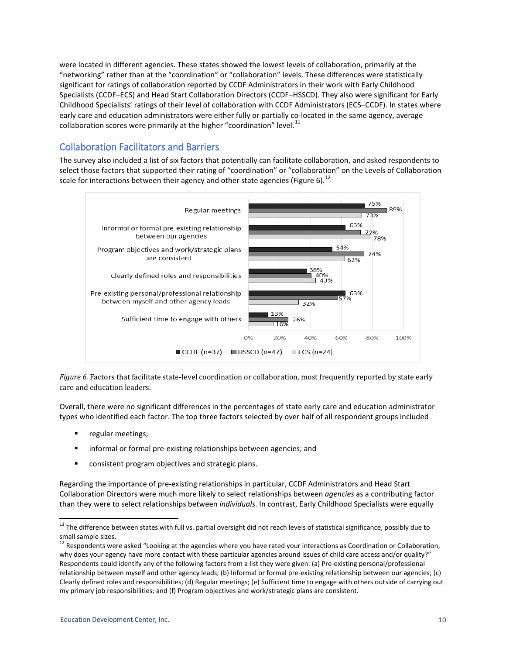were located in different agencies. These states showed the lowest levels of collaboration, primarily at the "networking" rather than at the "coordination" or "collaboration" levels. These differences were statistically significant for ratings of collaboration reported by CCDF Administrators in their work with Early Childhood Specialists (CCDF–ECS) and Head Start Collaboration Directors (CCDF–HSSCD). They also were significant for Early Childhood Specialists' ratings of their level of collaboration with CCDF Administrators (ECS–CCDF). In states where early care and education administrators were either fully or partially co-located in the same agency, average collaboration scores were primarily at the higher "coordination" level. $^{11}$  $^{11}$  $^{11}$ 

# Collaboration Facilitators and Barriers

The survey also included a list of six factors that potentially can facilitate collaboration, and asked respondents to select those factors that supported their rating of "coordination" or "collaboration" on the Levels of Collaboration scale for interactions between their agency and other state agencies (Figure 6).  $^{12}$  $^{12}$  $^{12}$ 



*Figure 6.* Factors that facilitate state-level coordination or collaboration, most frequently reported by state early care and education leaders.

Overall, there were no significant differences in the percentages of state early care and education administrator types who identified each factor. The top three factors selected by over half of all respondent groups included

- regular meetings;
- informal or formal pre-existing relationships between agencies; and
- **E** consistent program objectives and strategic plans.

Regarding the importance of pre-existing relationships in particular, CCDF Administrators and Head Start Collaboration Directors were much more likely to select relationships between *agencies* as a contributing factor than they were to select relationships between *individuals*. In contrast, Early Childhood Specialists were equally

<sup>&</sup>lt;sup>11</sup> The difference between states with full vs. partial oversight did not reach levels of statistical significance, possibly due to

<span id="page-9-1"></span><span id="page-9-0"></span>small sample sizes.<br><sup>12</sup> Respondents were asked "Looking at the agencies where you have rated your interactions as Coordination or Collaboration, why does your agency have more contact with these particular agencies around issues of child care access and/or quality?" Respondents could identify any of the following factors from a list they were given: (a) Pre-existing personal/professional relationship between myself and other agency leads; (b) Informal or formal pre-existing relationship between our agencies; (c) Clearly defined roles and responsibilities; (d) Regular meetings; (e) Sufficient time to engage with others outside of carrying out my primary job responsibilities; and (f) Program objectives and work/strategic plans are consistent.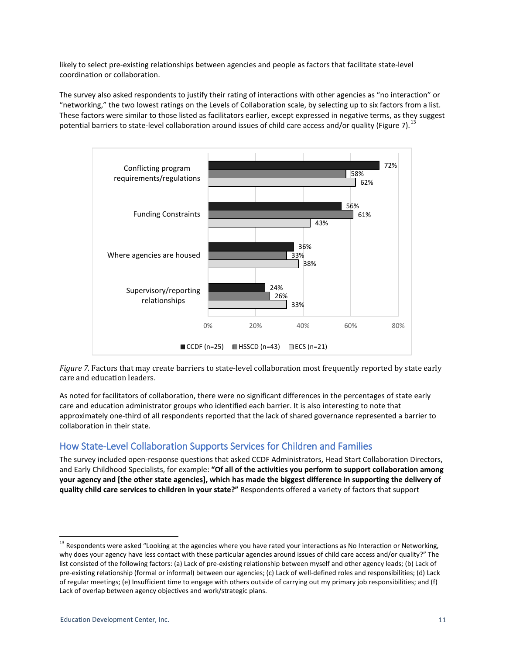likely to select pre-existing relationships between agencies and people as factors that facilitate state-level coordination or collaboration.

The survey also asked respondents to justify their rating of interactions with other agencies as "no interaction" or "networking," the two lowest ratings on the Levels of Collaboration scale, by selecting up to six factors from a list. These factors were similar to those listed as facilitators earlier, except expressed in negative terms, as they suggest potential barriers to state-level collaboration around issues of child care access and/or quality (Figure 7).  $^{13}$  $^{13}$  $^{13}$ 



*Figure 7.* Factors that may create barriers to state-level collaboration most frequently reported by state early care and education leaders.

As noted for facilitators of collaboration, there were no significant differences in the percentages of state early care and education administrator groups who identified each barrier. It is also interesting to note that approximately one-third of all respondents reported that the lack of shared governance represented a barrier to collaboration in their state.

# How State-Level Collaboration Supports Services for Children and Families

The survey included open-response questions that asked CCDF Administrators, Head Start Collaboration Directors, and Early Childhood Specialists, for example: **"Of all of the activities you perform to support collaboration among your agency and [the other state agencies], which has made the biggest difference in supporting the delivery of quality child care services to children in your state?"** Respondents offered a variety of factors that support

<span id="page-10-0"></span><sup>&</sup>lt;sup>13</sup> Respondents were asked "Looking at the agencies where you have rated your interactions as No Interaction or Networking, why does your agency have less contact with these particular agencies around issues of child care access and/or quality?" The list consisted of the following factors: (a) Lack of pre-existing relationship between myself and other agency leads; (b) Lack of pre-existing relationship (formal or informal) between our agencies; (c) Lack of well-defined roles and responsibilities; (d) Lack of regular meetings; (e) Insufficient time to engage with others outside of carrying out my primary job responsibilities; and (f) Lack of overlap between agency objectives and work/strategic plans.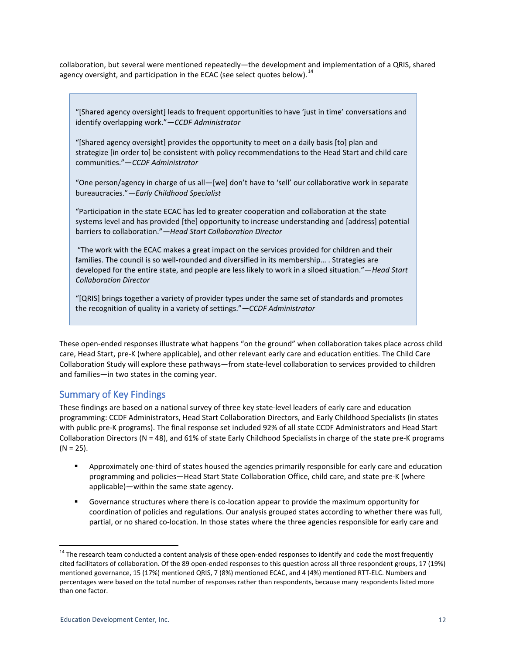collaboration, but several were mentioned repeatedly—the development and implementation of a QRIS, shared agency oversight, and participation in the ECAC (see select quotes below).  $^{14}$  $^{14}$  $^{14}$ 

"[Shared agency oversight] leads to frequent opportunities to have 'just in time' conversations and identify overlapping work."*—CCDF Administrator*

"[Shared agency oversight] provides the opportunity to meet on a daily basis [to] plan and strategize [in order to] be consistent with policy recommendations to the Head Start and child care communities."—*CCDF Administrator*

"One person/agency in charge of us all—[we] don't have to 'sell' our collaborative work in separate bureaucracies."*—Early Childhood Specialist*

"Participation in the state ECAC has led to greater cooperation and collaboration at the state systems level and has provided [the] opportunity to increase understanding and [address] potential barriers to collaboration."*—Head Start Collaboration Director* 

"The work with the ECAC makes a great impact on the services provided for children and their families. The council is so well-rounded and diversified in its membership… . Strategies are developed for the entire state, and people are less likely to work in a siloed situation."—*Head Start Collaboration Director*

"[QRIS] brings together a variety of provider types under the same set of standards and promotes the recognition of quality in a variety of settings."*—CCDF Administrator*

These open-ended responses illustrate what happens "on the ground" when collaboration takes place across child care, Head Start, pre-K (where applicable), and other relevant early care and education entities. The Child Care Collaboration Study will explore these pathways—from state-level collaboration to services provided to children and families—in two states in the coming year.

### Summary of Key Findings

These findings are based on a national survey of three key state-level leaders of early care and education programming: CCDF Administrators, Head Start Collaboration Directors, and Early Childhood Specialists (in states with public pre-K programs). The final response set included 92% of all state CCDF Administrators and Head Start Collaboration Directors (N = 48), and 61% of state Early Childhood Specialists in charge of the state pre-K programs  $(N = 25)$ .

- Approximately one-third of states housed the agencies primarily responsible for early care and education programming and policies—Head Start State Collaboration Office, child care, and state pre-K (where applicable)—within the same state agency.
- Governance structures where there is co-location appear to provide the maximum opportunity for coordination of policies and regulations. Our analysis grouped states according to whether there was full, partial, or no shared co-location. In those states where the three agencies responsible for early care and

<span id="page-11-0"></span><sup>&</sup>lt;sup>14</sup> The research team conducted a content analysis of these open-ended responses to identify and code the most frequently cited facilitators of collaboration. Of the 89 open-ended responses to this question across all three respondent groups, 17 (19%) mentioned governance, 15 (17%) mentioned QRIS, 7 (8%) mentioned ECAC, and 4 (4%) mentioned RTT-ELC. Numbers and percentages were based on the total number of responses rather than respondents, because many respondents listed more than one factor.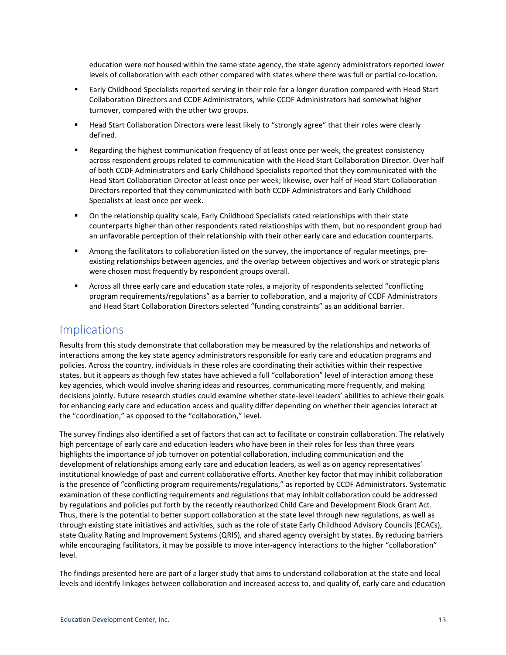education were *not* housed within the same state agency, the state agency administrators reported lower levels of collaboration with each other compared with states where there was full or partial co-location.

- Early Childhood Specialists reported serving in their role for a longer duration compared with Head Start Collaboration Directors and CCDF Administrators, while CCDF Administrators had somewhat higher turnover, compared with the other two groups.
- **Head Start Collaboration Directors were least likely to "strongly agree" that their roles were clearly** defined.
- **EXECT** Regarding the highest communication frequency of at least once per week, the greatest consistency across respondent groups related to communication with the Head Start Collaboration Director. Over half of both CCDF Administrators and Early Childhood Specialists reported that they communicated with the Head Start Collaboration Director at least once per week; likewise, over half of Head Start Collaboration Directors reported that they communicated with both CCDF Administrators and Early Childhood Specialists at least once per week.
- On the relationship quality scale, Early Childhood Specialists rated relationships with their state counterparts higher than other respondents rated relationships with them, but no respondent group had an unfavorable perception of their relationship with their other early care and education counterparts.
- Among the facilitators to collaboration listed on the survey, the importance of regular meetings, preexisting relationships between agencies, and the overlap between objectives and work or strategic plans were chosen most frequently by respondent groups overall.
- Across all three early care and education state roles, a majority of respondents selected "conflicting program requirements/regulations" as a barrier to collaboration, and a majority of CCDF Administrators and Head Start Collaboration Directors selected "funding constraints" as an additional barrier.

# Implications

Results from this study demonstrate that collaboration may be measured by the relationships and networks of interactions among the key state agency administrators responsible for early care and education programs and policies. Across the country, individuals in these roles are coordinating their activities within their respective states, but it appears as though few states have achieved a full "collaboration" level of interaction among these key agencies, which would involve sharing ideas and resources, communicating more frequently, and making decisions jointly. Future research studies could examine whether state-level leaders' abilities to achieve their goals for enhancing early care and education access and quality differ depending on whether their agencies interact at the "coordination," as opposed to the "collaboration," level.

The survey findings also identified a set of factors that can act to facilitate or constrain collaboration. The relatively high percentage of early care and education leaders who have been in their roles for less than three years highlights the importance of job turnover on potential collaboration, including communication and the development of relationships among early care and education leaders, as well as on agency representatives' institutional knowledge of past and current collaborative efforts. Another key factor that may inhibit collaboration is the presence of "conflicting program requirements/regulations," as reported by CCDF Administrators. Systematic examination of these conflicting requirements and regulations that may inhibit collaboration could be addressed by regulations and policies put forth by the recently reauthorized Child Care and Development Block Grant Act. Thus, there is the potential to better support collaboration at the state level through new regulations, as well as through existing state initiatives and activities, such as the role of state Early Childhood Advisory Councils (ECACs), state Quality Rating and Improvement Systems (QRIS), and shared agency oversight by states. By reducing barriers while encouraging facilitators, it may be possible to move inter-agency interactions to the higher "collaboration" level.

The findings presented here are part of a larger study that aims to understand collaboration at the state and local levels and identify linkages between collaboration and increased access to, and quality of, early care and education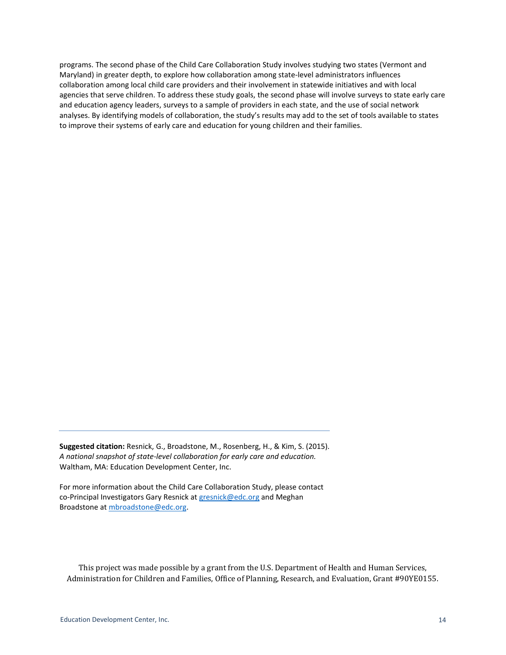programs. The second phase of the Child Care Collaboration Study involves studying two states (Vermont and Maryland) in greater depth, to explore how collaboration among state-level administrators influences collaboration among local child care providers and their involvement in statewide initiatives and with local agencies that serve children. To address these study goals, the second phase will involve surveys to state early care and education agency leaders, surveys to a sample of providers in each state, and the use of social network analyses. By identifying models of collaboration, the study's results may add to the set of tools available to states to improve their systems of early care and education for young children and their families.

**Suggested citation:** Resnick, G., Broadstone, M., Rosenberg, H., & Kim, S. (2015). *A national snapshot of state-level collaboration for early care and education.* Waltham, MA: Education Development Center, Inc.

For more information about the Child Care Collaboration Study, please contact co-Principal Investigators Gary Resnick at [gresnick@edc.org](mailto:gresnick@edc.org) and Meghan Broadstone a[t mbroadstone@edc.org.](mailto:mbroadstone@edc.org)

This project was made possible by a grant from the U.S. Department of Health and Human Services, Administration for Children and Families, Office of Planning, Research, and Evaluation, Grant #90YE0155.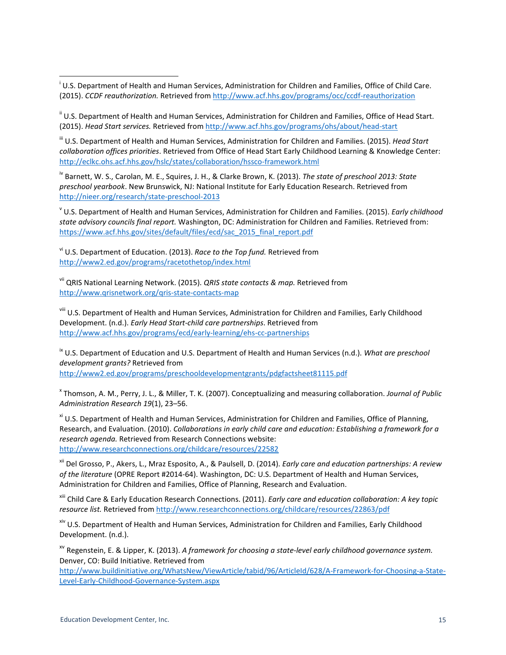<span id="page-14-0"></span> i U.S. Department of Health and Human Services, Administration for Children and Families, Office of Child Care. (2015). *CCDF reauthorization.* Retrieved from <http://www.acf.hhs.gov/programs/occ/ccdf-reauthorization>

<span id="page-14-1"></span><sup>ii</sup> U.S. Department of Health and Human Services, Administration for Children and Families, Office of Head Start. (2015). *Head Start services.* Retrieved from <http://www.acf.hhs.gov/programs/ohs/about/head-start>

<span id="page-14-2"></span>iii U.S. Department of Health and Human Services, Administration for Children and Families. (2015). *Head Start collaboration offices priorities*. Retrieved from Office of Head Start Early Childhood Learning & Knowledge Center: <http://eclkc.ohs.acf.hhs.gov/hslc/states/collaboration/hssco-framework.html>

<span id="page-14-3"></span>iv Barnett, W. S., Carolan, M. E., Squires, J. H., & Clarke Brown, K. (2013). *The state of preschool 2013: State preschool yearbook*. New Brunswick, NJ: National Institute for Early Education Research. Retrieved from <http://nieer.org/research/state-preschool-2013>

<sup>v</sup> U.S. Department of Health and Human Services, Administration for Children and Families. (2015). *Early childhood state advisory councils final report.* Washington, DC: Administration for Children and Families. Retrieved from: [https://www.acf.hhs.gov/sites/default/files/ecd/sac\\_2015\\_final\\_report.pdf](https://www.acf.hhs.gov/sites/default/files/ecd/sac_2015_final_report.pdf)

vi U.S. Department of Education. (2013). *Race to the Top fund.* Retrieved from <http://www2.ed.gov/programs/racetothetop/index.html>

vii QRIS National Learning Network. (2015). *QRIS state contacts & map.* Retrieved from <http://www.qrisnetwork.org/qris-state-contacts-map>

viii U.S. Department of Health and Human Services, Administration for Children and Families, Early Childhood Development. (n.d.). *Early Head Start-child care partnerships*. Retrieved from <http://www.acf.hhs.gov/programs/ecd/early-learning/ehs-cc-partnerships>

<sup>ix</sup> U.S. Department of Education and U.S. Department of Health and Human Services (n.d.). *What are preschool development grants?* Retrieved from <http://www2.ed.gov/programs/preschooldevelopmentgrants/pdgfactsheet81115.pdf>

<sup>x</sup> Thomson, A. M., Perry, J. L., & Miller, T. K. (2007). Conceptualizing and measuring collaboration. *Journal of Public Administration Research 19*(1), 23–56.

<sup>xi</sup> U.S. Department of Health and Human Services, Administration for Children and Families, Office of Planning, Research, and Evaluation. (2010). *Collaborations in early child care and education: Establishing a framework for a research agenda.* Retrieved from Research Connections website: <http://www.researchconnections.org/childcare/resources/22582>

xii Del Grosso, P., Akers, L., Mraz Esposito, A., & Paulsell, D. (2014). *Early care and education partnerships: A review of the literature* (OPRE Report #2014-64). Washington, DC: U.S. Department of Health and Human Services, Administration for Children and Families, Office of Planning, Research and Evaluation.

xiii Child Care & Early Education Research Connections. (2011). *Early care and education collaboration: A key topic resource list.* Retrieved from<http://www.researchconnections.org/childcare/resources/22863/pdf>

xiv U.S. Department of Health and Human Services, Administration for Children and Families, Early Childhood Development. (n.d.).

xv Regenstein, E. & Lipper, K. (2013). *A framework for choosing a state-level early childhood governance system.* Denver, CO: Build Initiative. Retrieved from

[http://www.buildinitiative.org/WhatsNew/ViewArticle/tabid/96/ArticleId/628/A-Framework-for-Choosing-a-State-](http://www.buildinitiative.org/WhatsNew/ViewArticle/tabid/96/ArticleId/628/A-Framework-for-Choosing-a-State-Level-Early-Childhood-Governance-System.aspx)[Level-Early-Childhood-Governance-System.aspx](http://www.buildinitiative.org/WhatsNew/ViewArticle/tabid/96/ArticleId/628/A-Framework-for-Choosing-a-State-Level-Early-Childhood-Governance-System.aspx)